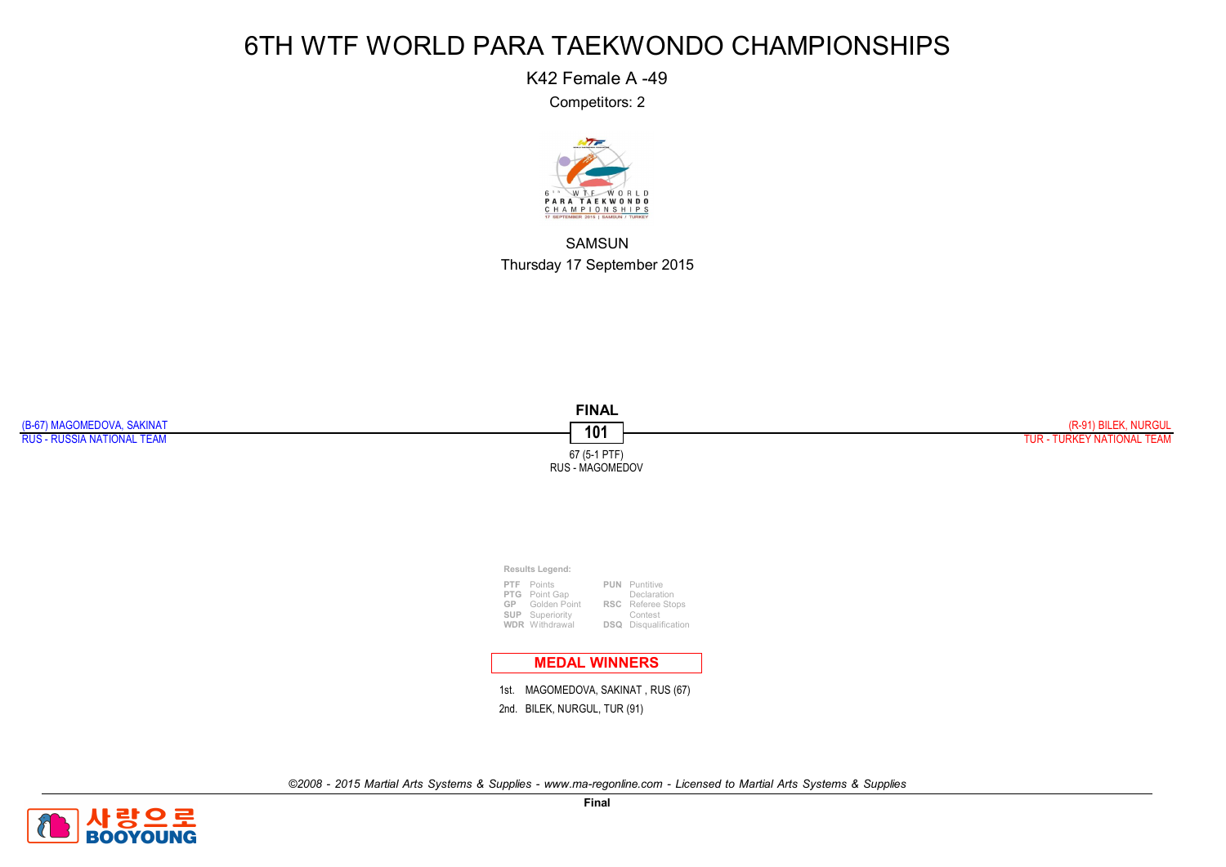K42 Female A -49

Competitors: 2



SAMSUN Thursday 17 September 2015



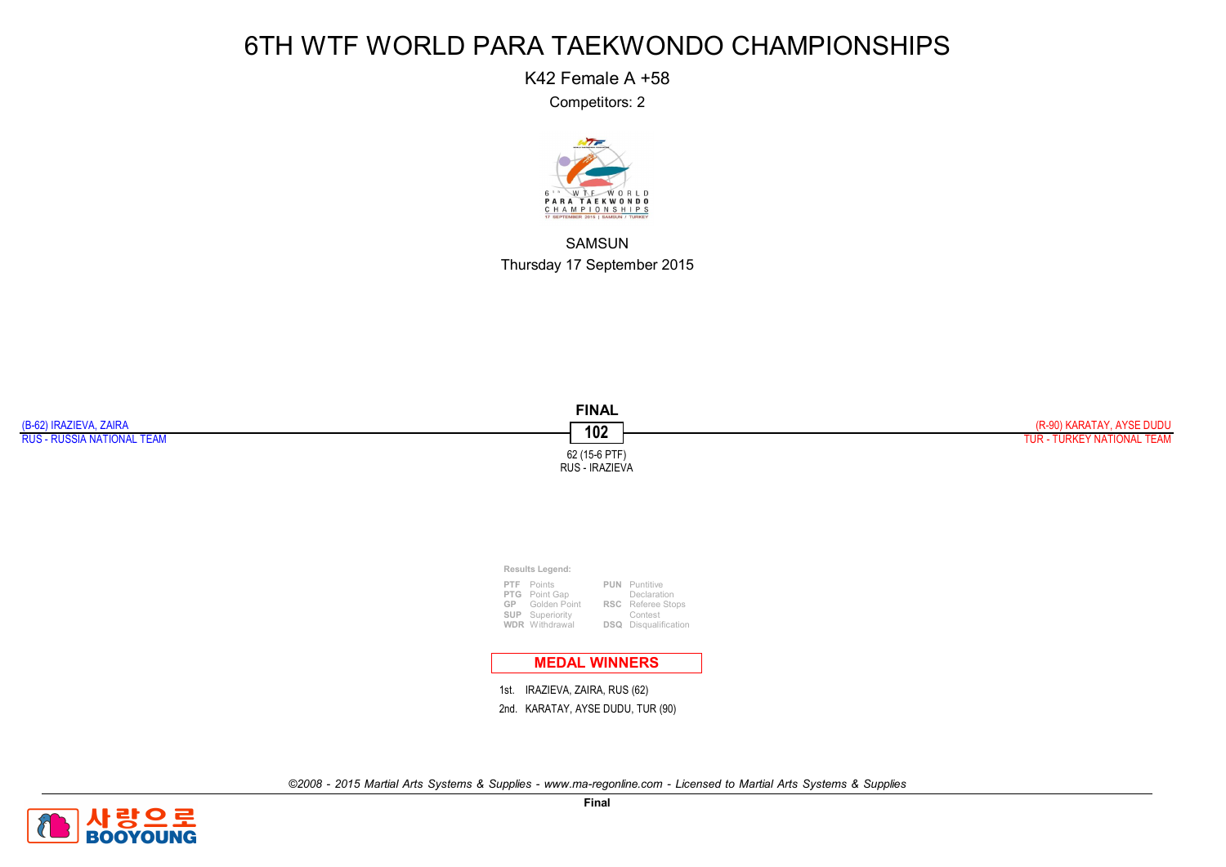K42 Female A +58

Competitors: 2



SAMSUN Thursday 17 September 2015



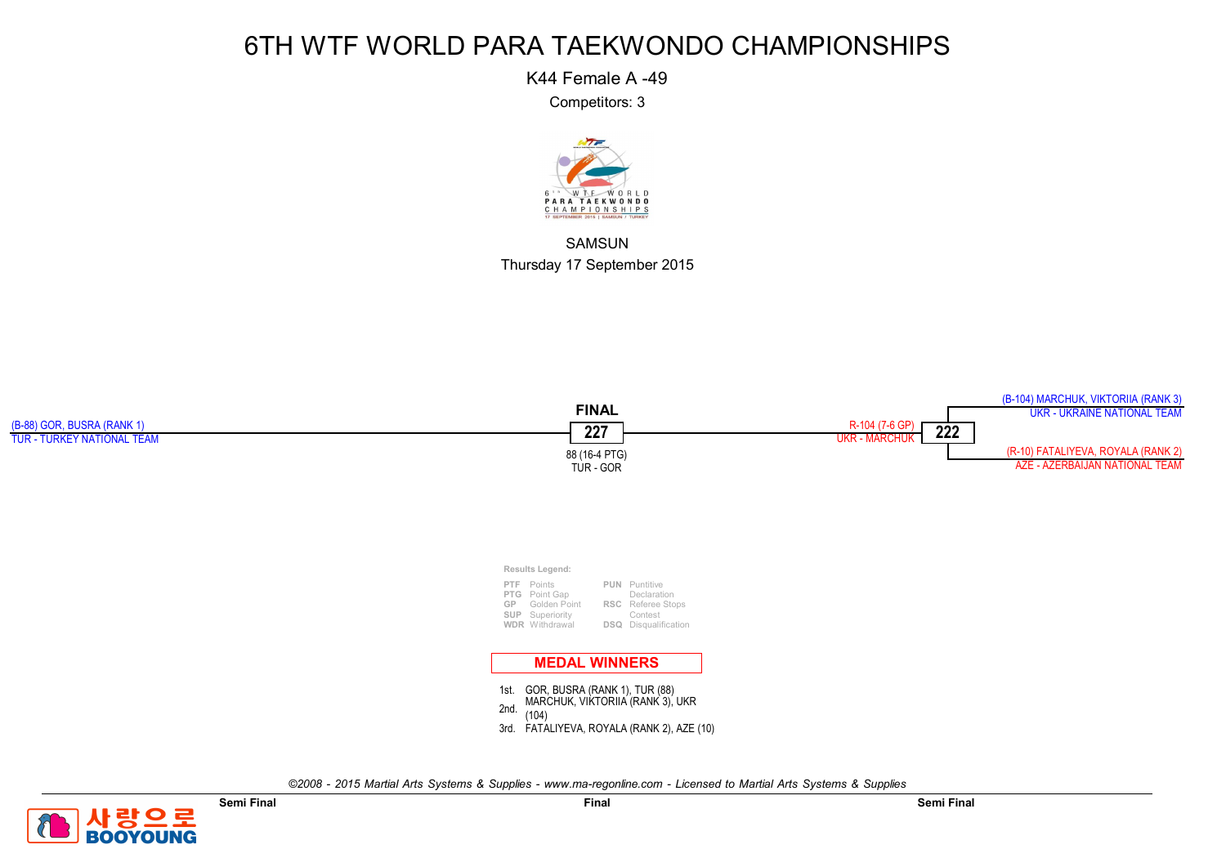K44 Female A -49

Competitors: 3



SAMSUN Thursday 17 September 2015



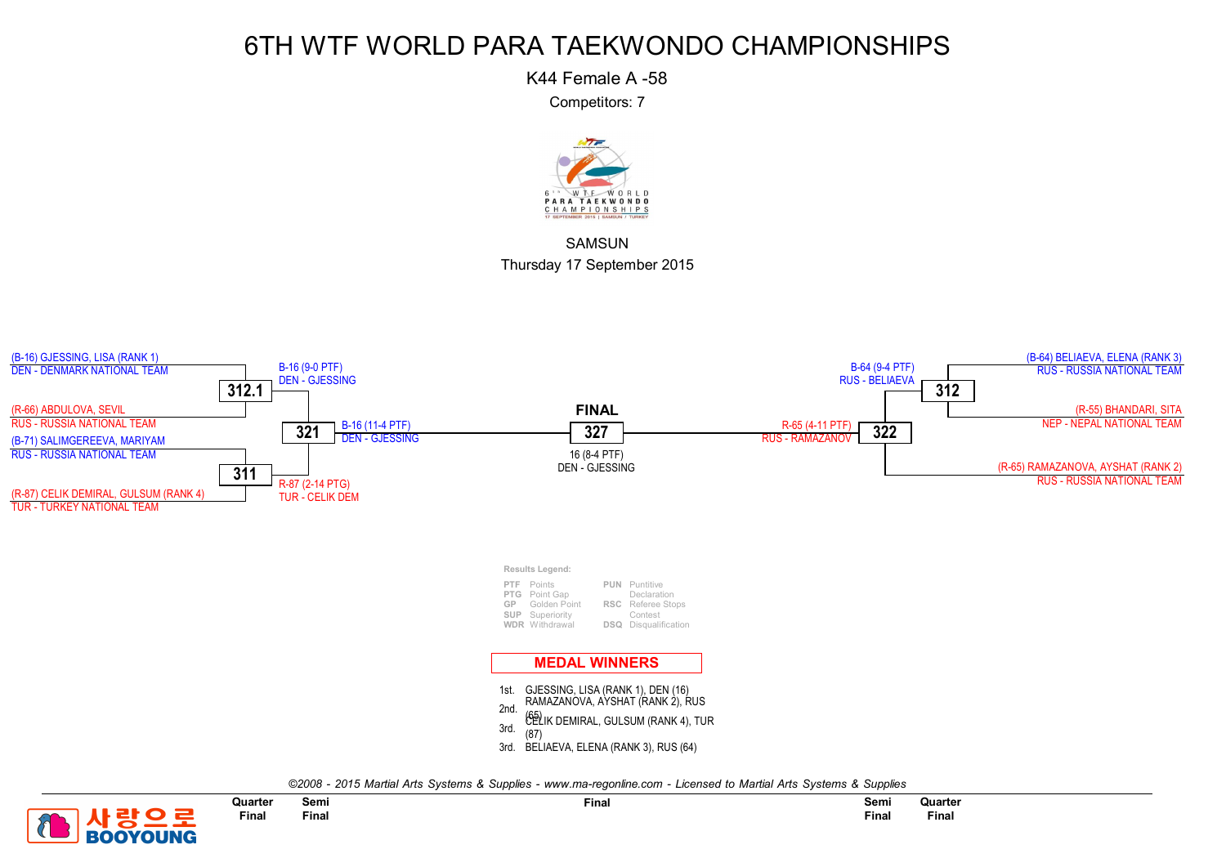K44 Female A -58

Competitors: 7



**SAMSUN** Thursday 17 September 2015



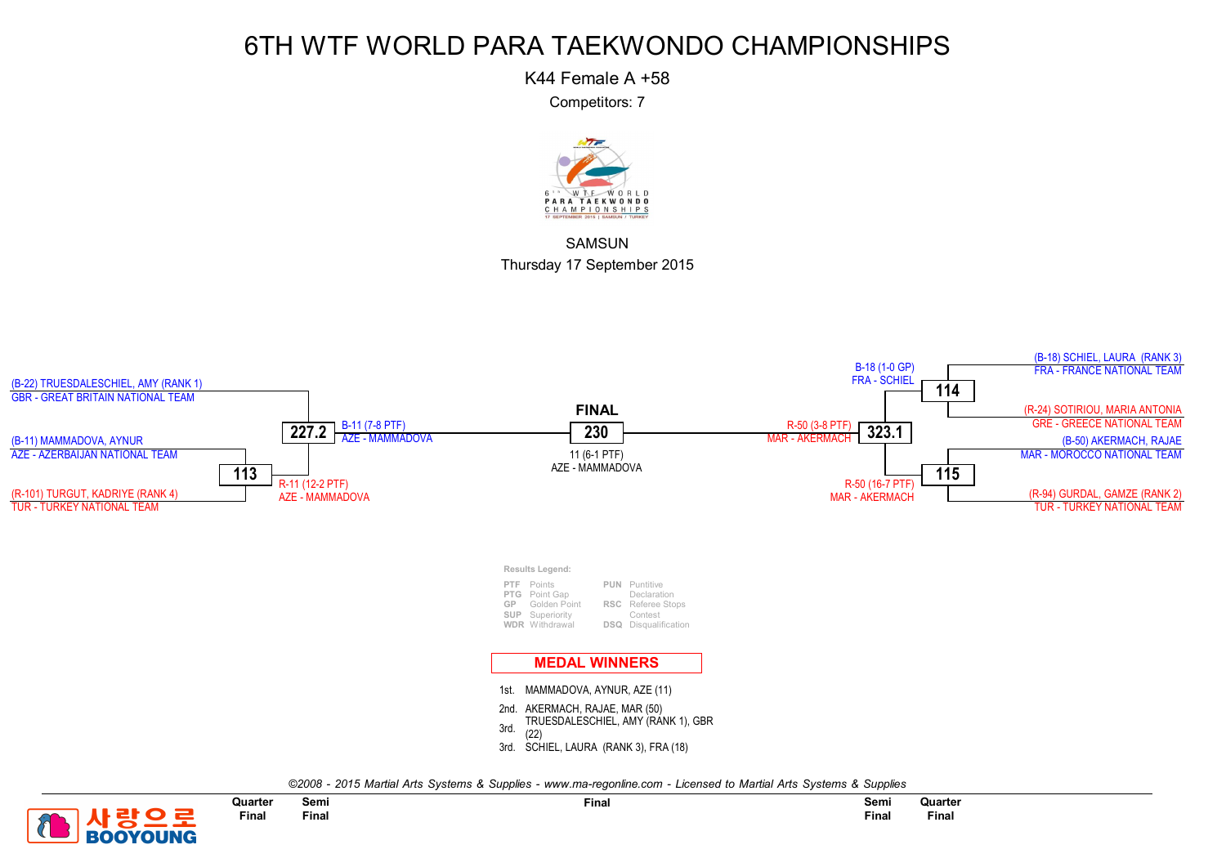K44 Female A +58

Competitors: 7



**SAMSUN** Thursday 17 September 2015



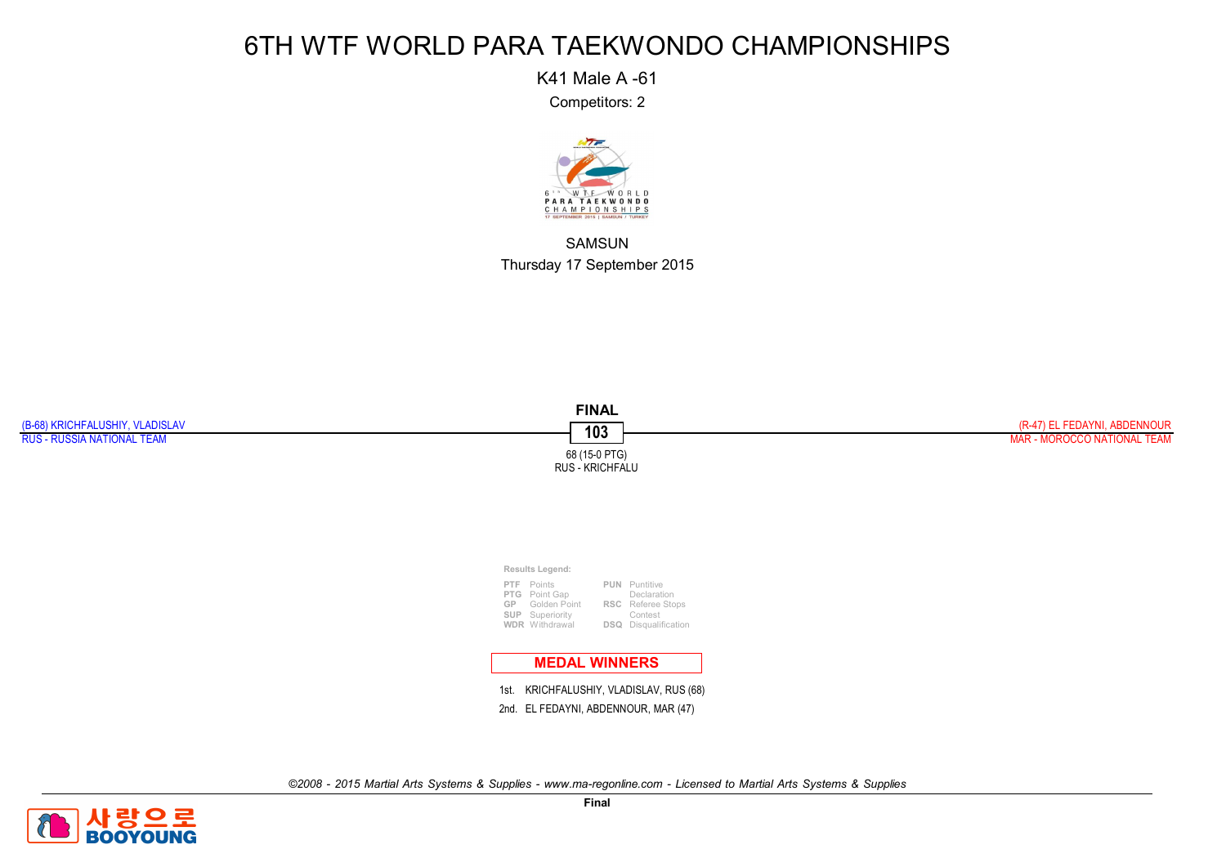K41 Male A -61

Competitors: 2



SAMSUN Thursday 17 September 2015



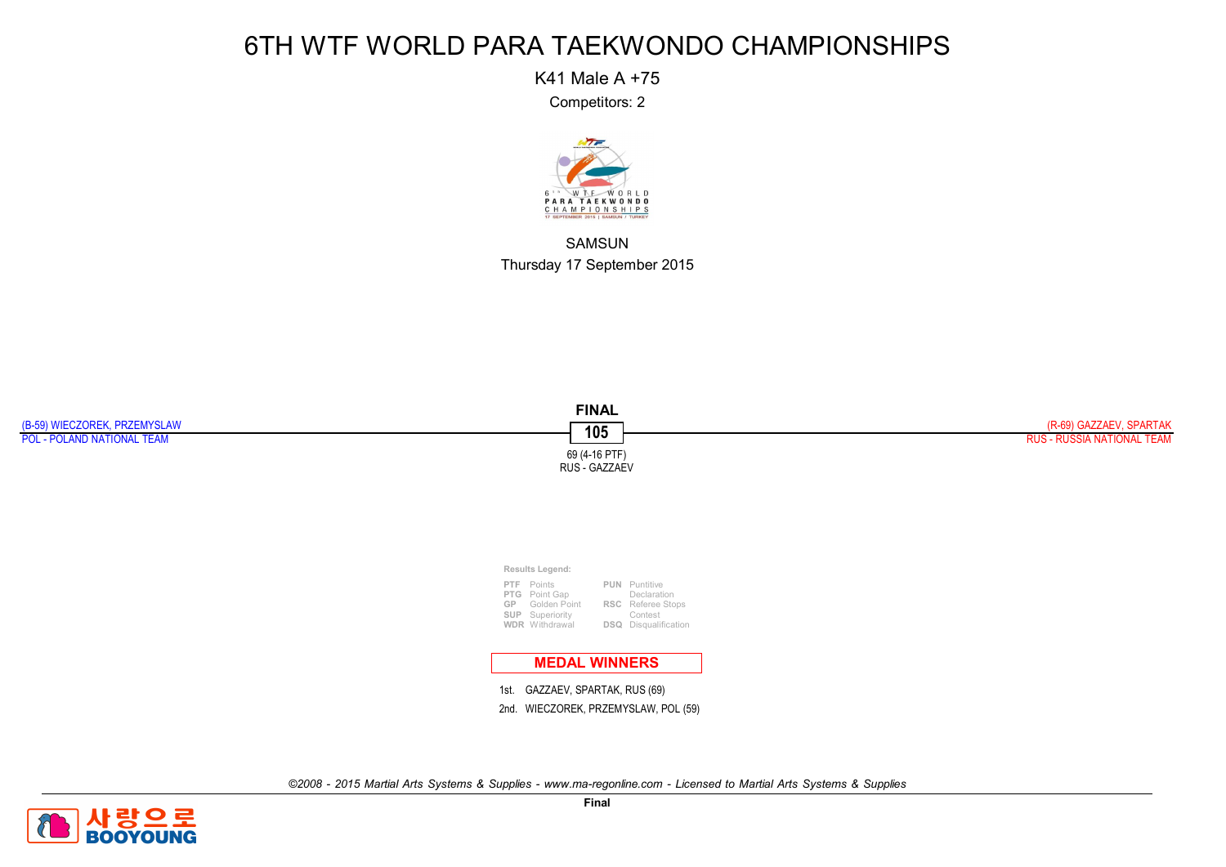K41 Male A +75

Competitors: 2



SAMSUN Thursday 17 September 2015



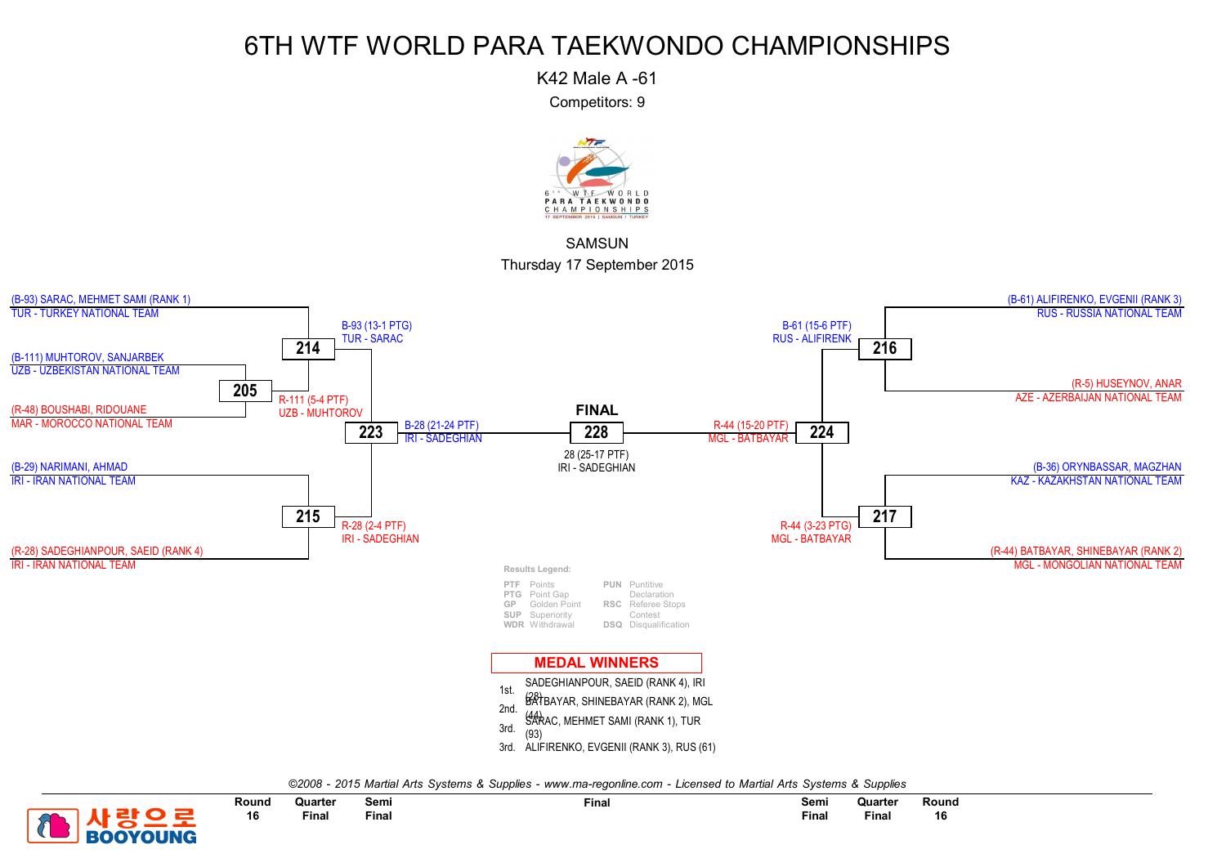K42 Male A -61

Competitors: 9



**SAMSUN** Thursday 17 September 2015



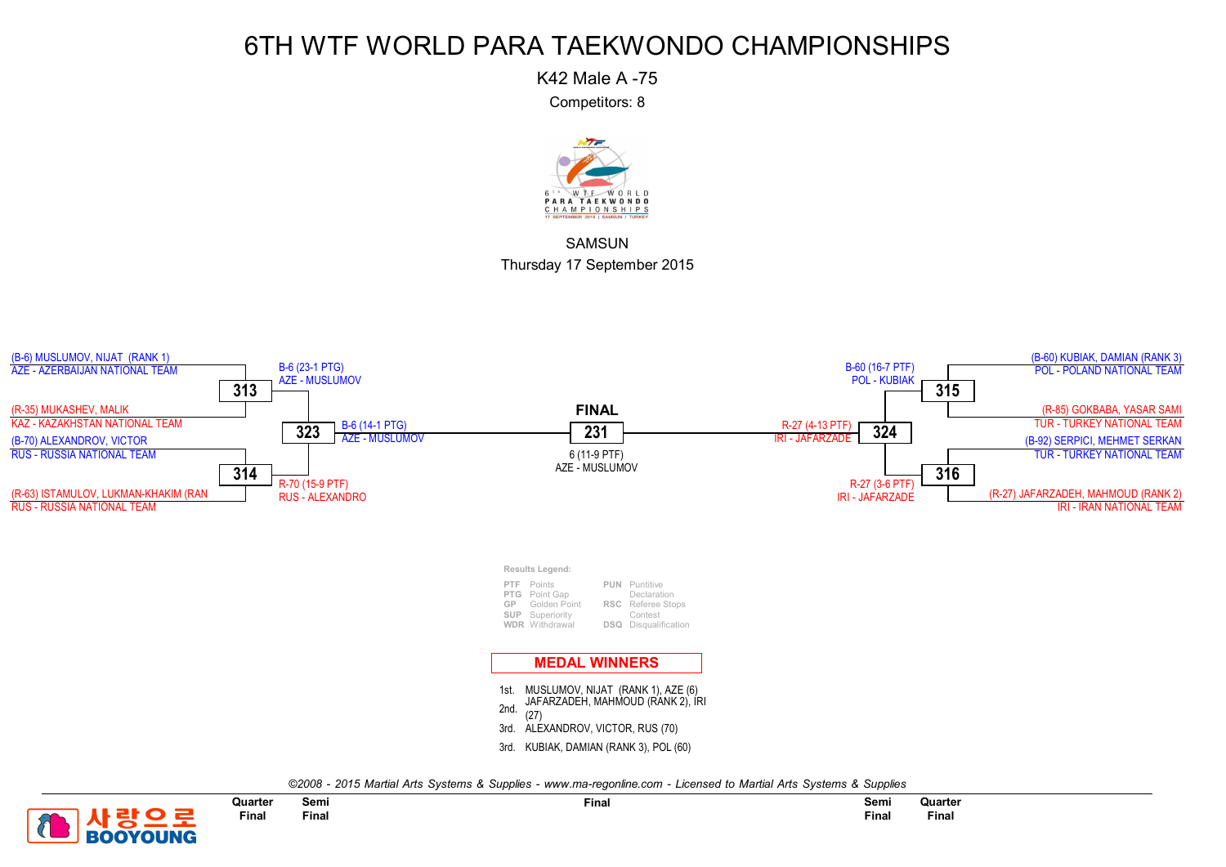K42 Male A -75

Competitors: 8



**SAMSUN** Thursday 17 September 2015



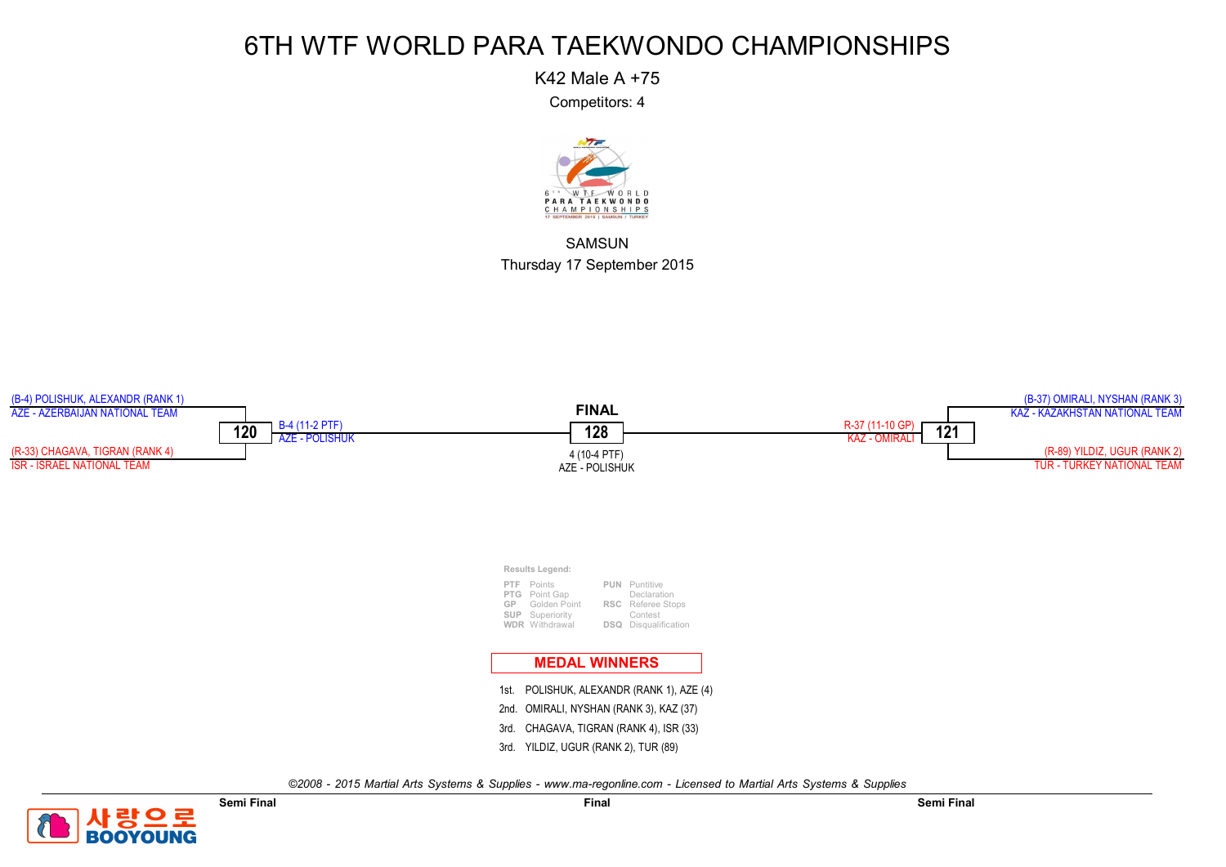K42 Male A +75

Competitors: 4



SAMSUN Thursday 17 September 2015



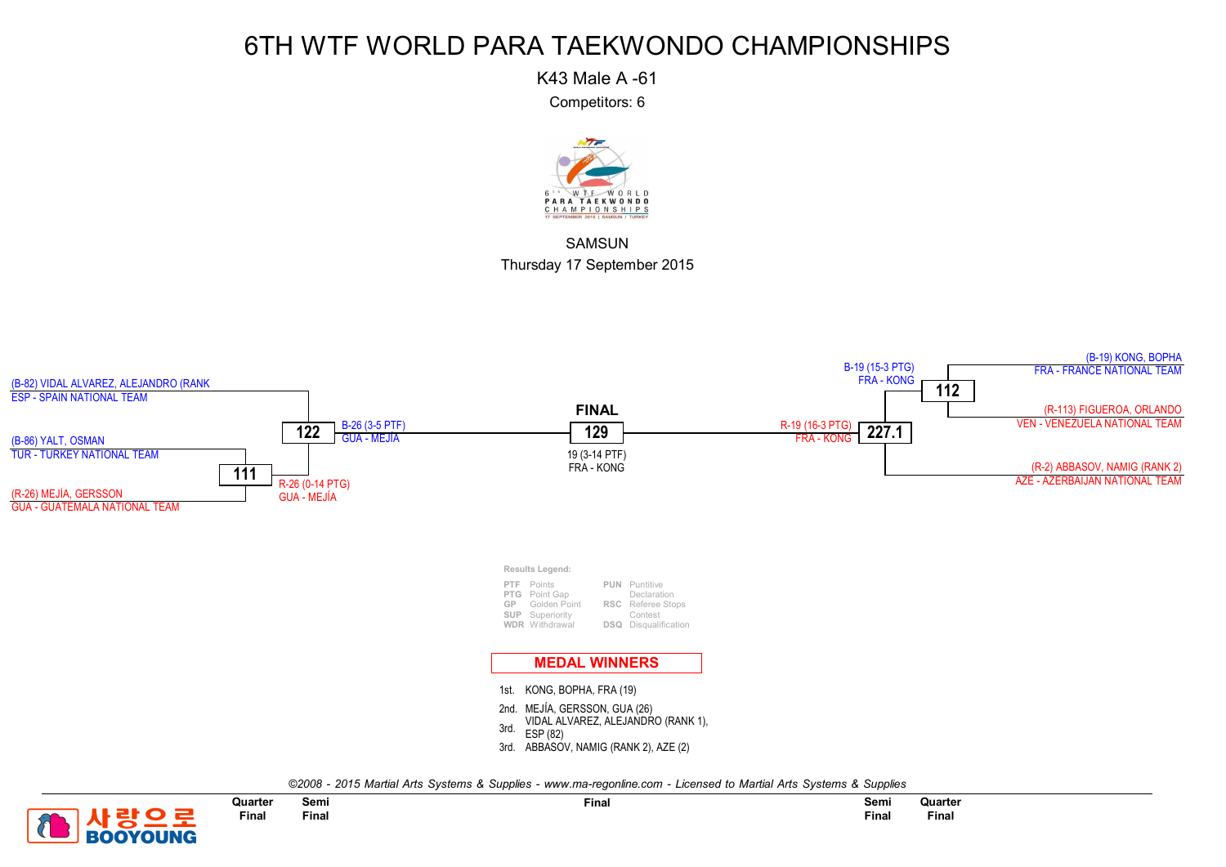K43 Male A -61

Competitors: 6



**SAMSUN** Thursday 17 September 2015



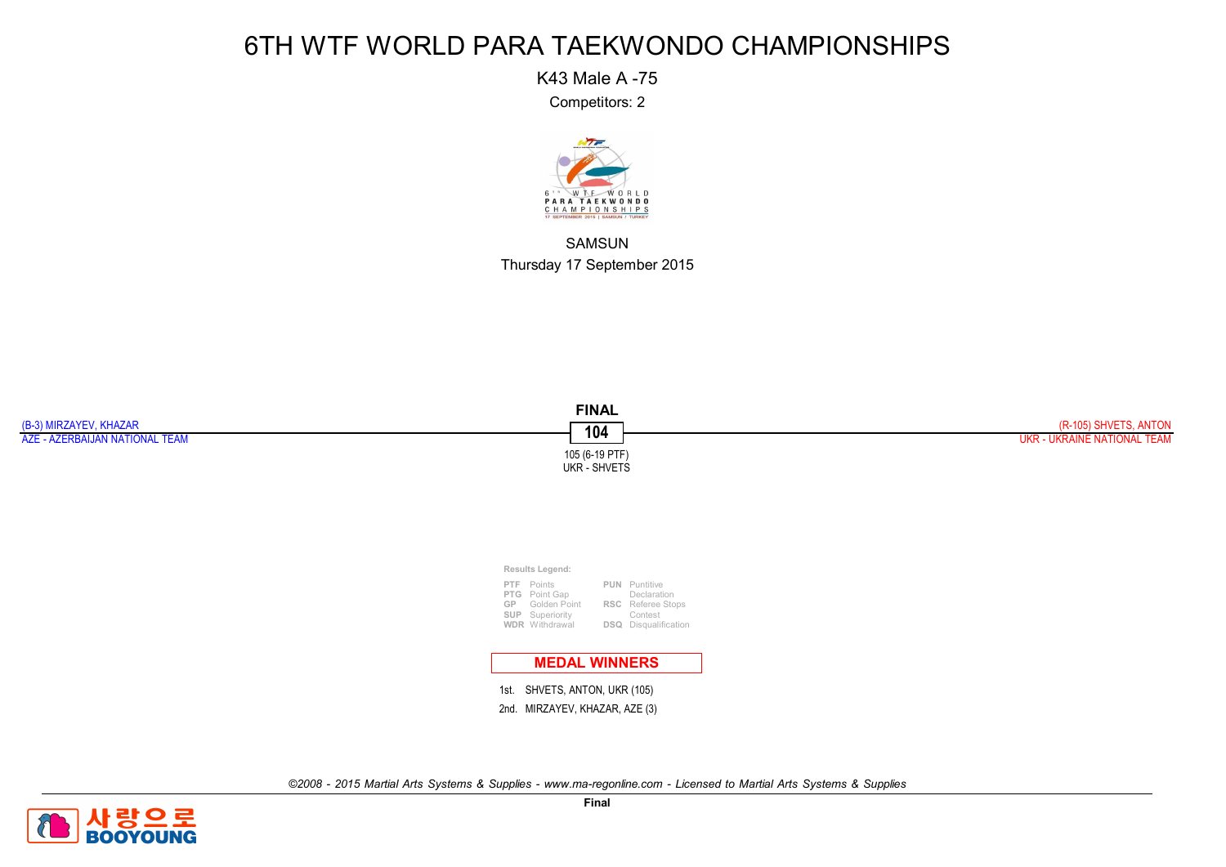K43 Male A -75

Competitors: 2



SAMSUN Thursday 17 September 2015



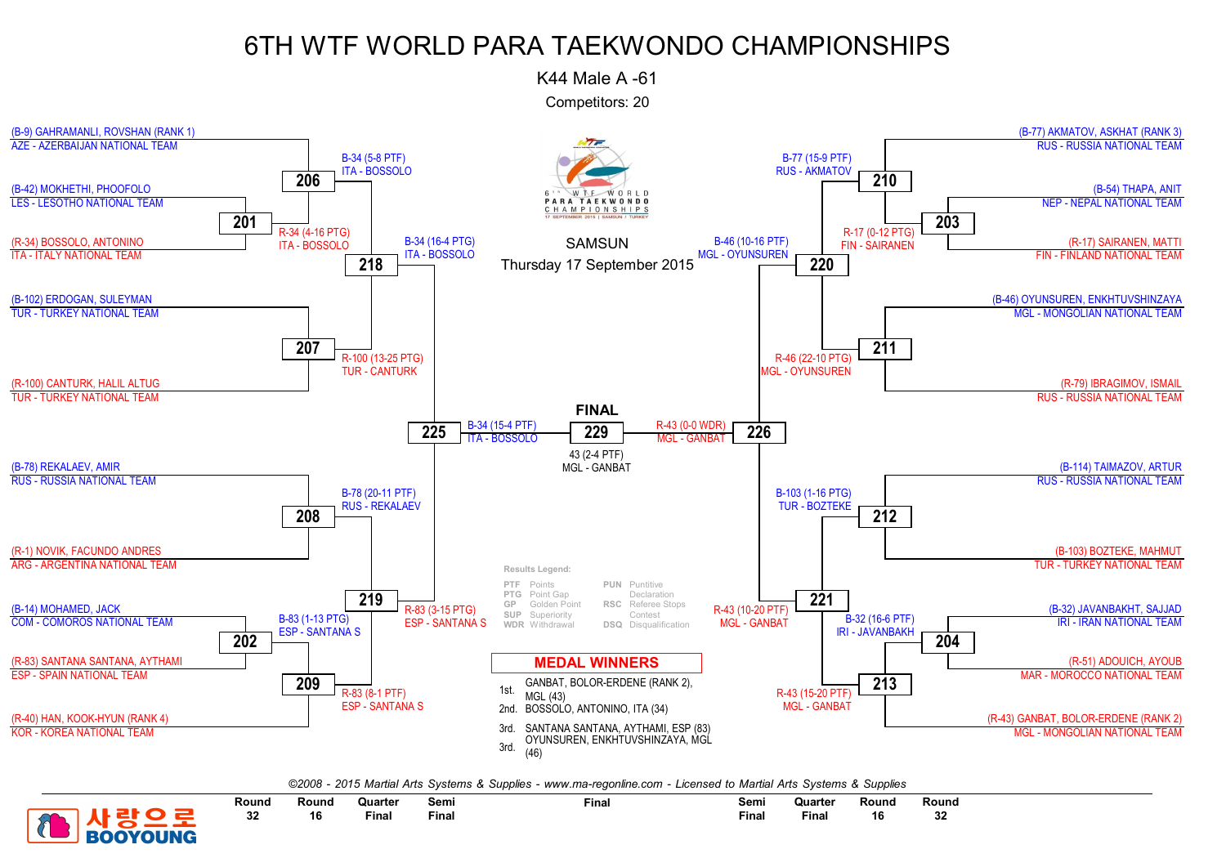K44 Male A -61

Competitors: 20



*©2008 - 2015 Martial Arts Systems & Supplies - www.ma-regonline.com - Licensed to Martial Arts Systems & Supplies*



Round 32

Semi Final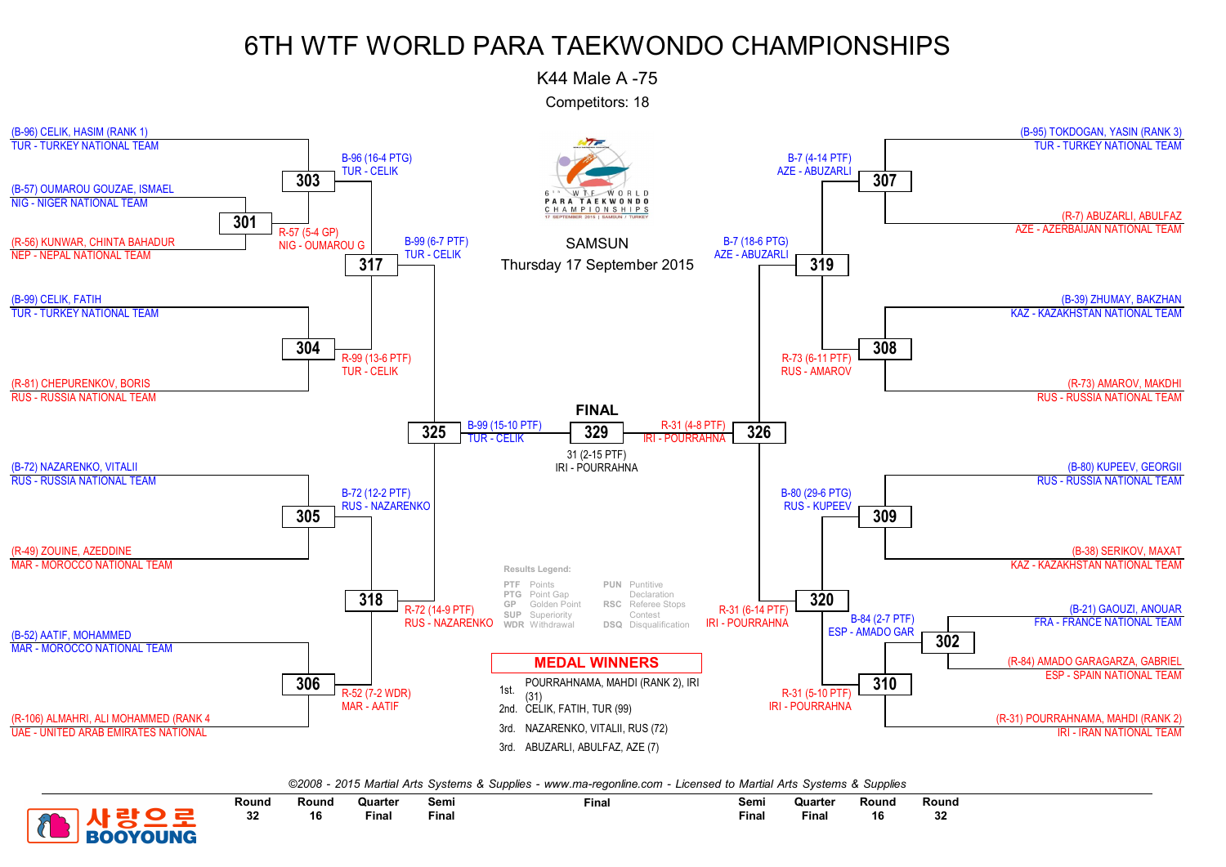K44 Male A -75

Competitors: 18